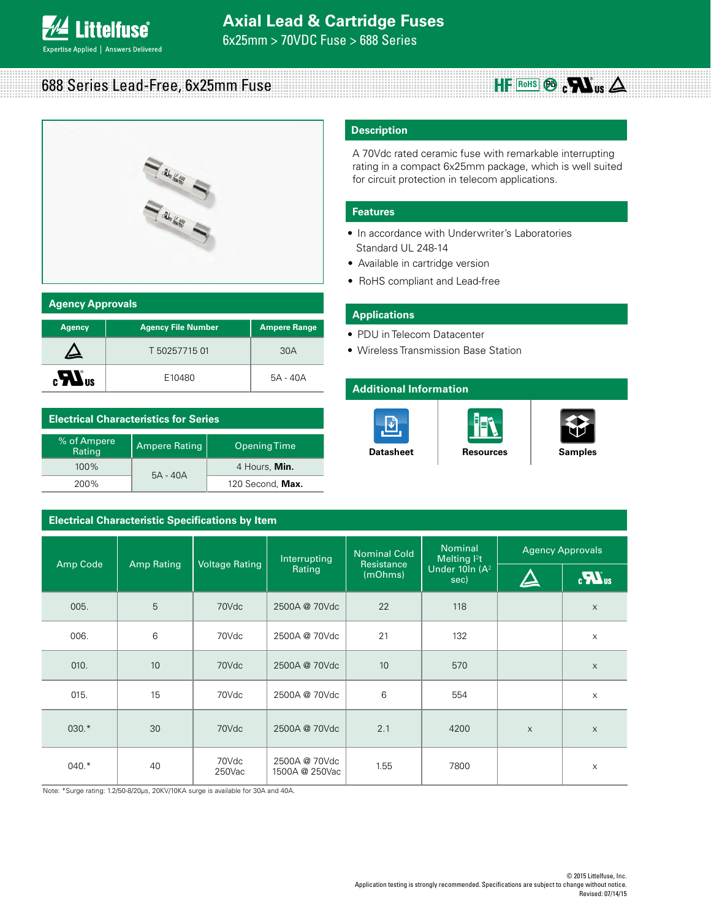

# 688 Series Lead-Free, 6x25mm Fuse



## **Agency Approvals**

| <b>Agency</b>          | <b>Agency File Number</b> | <b>Ampere Range</b> |
|------------------------|---------------------------|---------------------|
|                        | T 50257715 01             | 30A                 |
| $_{c}LL$ <sub>us</sub> | E10480                    | 5A - 40A            |

# **Electrical Characteristics for Series**

| % of Ampere<br>Rating | <b>Ampere Rating</b> | Opening Time     |
|-----------------------|----------------------|------------------|
| $100\%$               | $5A - 40A$           | 4 Hours, Min.    |
| 200%                  |                      | 120 Second, Max. |

# **Electrical Characteristic Specifications by Item**

# **Description**

A 70Vdc rated ceramic fuse with remarkable interrupting rating in a compact 6x25mm package, which is well suited for circuit protection in telecom applications.

# **Features**

- In accordance with Underwriter's Laboratories Standard UL 248-14
- Available in cartridge version
- RoHS compliant and Lead-free

## **Applications**

- PDU in Telecom Datacenter
- Wireless Transmission Base Station

# **Additional Information**





 $HF$  Rohs $\odot$   $CH$ <sub>us</sub>  $\triangle$ 

|          |                   | <b>Voltage Rating</b> | Interrupting<br>Rating          | <b>Nominal Cold</b><br><b>Resistance</b><br>(mOhms) | <b>Nominal</b><br>Melting $l^2t$<br>Under 10In (A <sup>2</sup><br>sec) | <b>Agency Approvals</b> |              |
|----------|-------------------|-----------------------|---------------------------------|-----------------------------------------------------|------------------------------------------------------------------------|-------------------------|--------------|
| Amp Code | <b>Amp Rating</b> |                       |                                 |                                                     |                                                                        | $\blacktriangle$        | $\mathbf{u}$ |
| 005.     | 5                 | 70Vdc                 | 2500A @ 70Vdc                   | 22                                                  | 118                                                                    |                         | $\mathsf X$  |
| 006.     | 6                 | 70Vdc                 | 2500A @ 70Vdc                   | 21                                                  | 132                                                                    |                         | X            |
| 010.     | 10                | 70Vdc                 | 2500A @ 70Vdc                   | 10                                                  | 570                                                                    |                         | $\mathsf X$  |
| 015.     | 15                | 70Vdc                 | 2500A @ 70Vdc                   | 6                                                   | 554                                                                    |                         | $\mathsf X$  |
| $030.*$  | 30                | 70Vdc                 | 2500A @ 70Vdc                   | 2.1                                                 | 4200                                                                   | $\times$                | $\times$     |
| $040.*$  | 40                | 70Vdc<br>250Vac       | 2500A @ 70Vdc<br>1500A @ 250Vac | 1.55                                                | 7800                                                                   |                         | X            |

Note: \*Surge rating: 1.2/50-8/20μs, 20KV/10KA surge is available for 30A and 40A.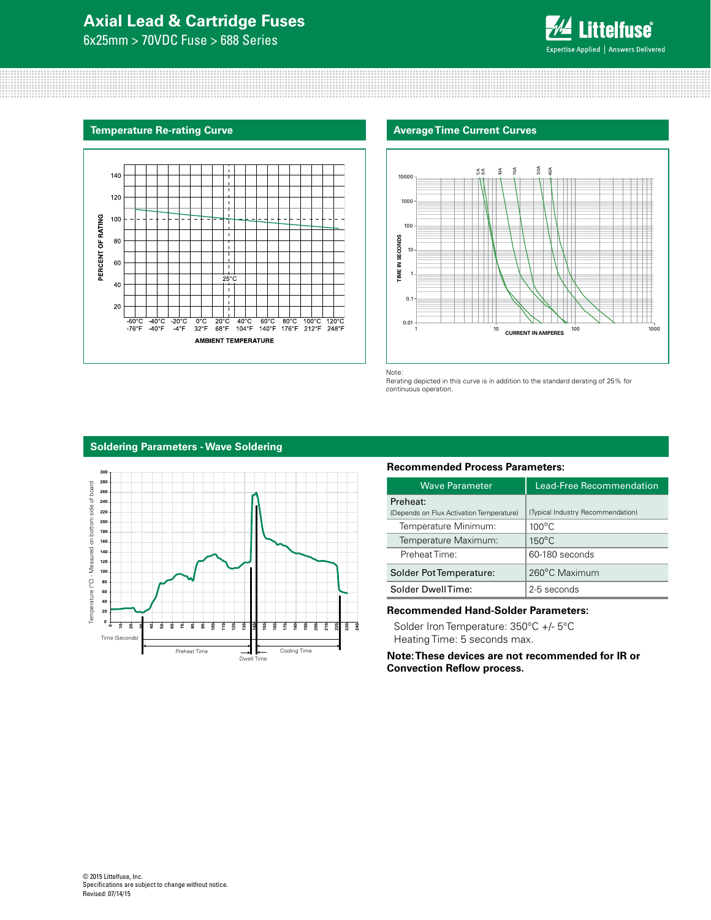# **Axial Lead & Cartridge Fuses**

6x25mm > 70VDC Fuse > 688 Series



#### **Temperature Re-rating Curve Average Time Current Curves Average Time Current Curves**





Note: Rerating depicted in this curve is in addition to the standard derating of 25% for continuous operation.

## **Soldering Parameters - Wave Soldering**



### **Recommended Process Parameters:**

| Wave Parameter                                       | Lead-Free Recommendation          |  |
|------------------------------------------------------|-----------------------------------|--|
| Preheat:<br>(Depends on Flux Activation Temperature) | (Typical Industry Recommendation) |  |
| Temperature Minimum:                                 | $100^{\circ}$ C                   |  |
| Temperature Maximum:                                 | $150^{\circ}$ C                   |  |
| Preheat Time:                                        | 60-180 seconds                    |  |
| Solder Pot Temperature:                              | 260°C Maximum                     |  |
| Solder DwellTime:                                    | 2-5 seconds                       |  |

#### **Recommended Hand-Solder Parameters:**

Solder Iron Temperature: 350°C +/- 5°C Heating Time: 5 seconds max.

**Note: These devices are not recommended for IR or Convection Reflow process.**